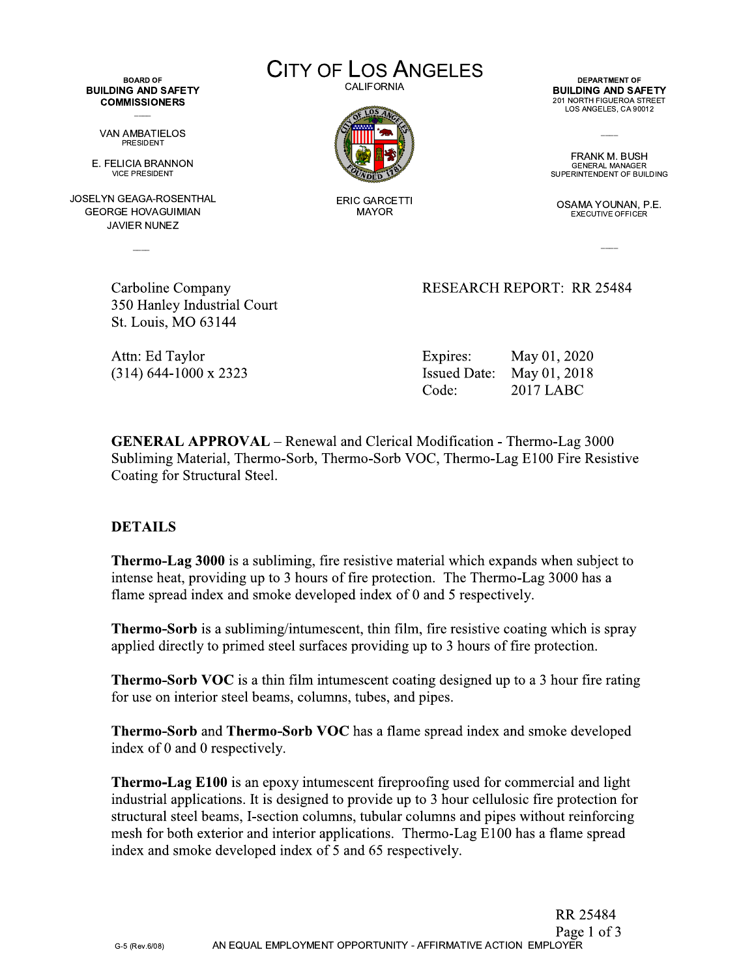**BOARD OF BUILDING AND SAFETY COMMISSIONERS** 

> VAN AMBATIELOS **PRESIDENT**

E. FELICIA BRANNON **VICE PRESIDENT** 

JOSELYN GEAGA-ROSENTHAL **GEORGE HOVAGUIMIAN JAVIER NUNEZ** 

> Carboline Company 350 Hanley Industrial Court St. Louis, MO 63144

Attn: Ed Taylor  $(314)$  644-1000 x 2323 **CITY OF LOS ANGELES CALIFORNIA** 



**ERIC GARCETTI MAYOR** 

DEPARTMENT OF **BUILDING AND SAFETY** 201 NORTH FIGUEROA STREET LOS ANGELES, CA 90012

FRANK M. BUSH **GENERAL MANAGER** SUPERINTENDENT OF BUILDING

OSAMA YOUNAN, P.E. **EXECUTIVE OFFICER** 

**RESEARCH REPORT: RR 25484** 

Expires: May 01, 2020 Issued Date: May 01, 2018 **2017 LABC** Code:

**GENERAL APPROVAL** – Renewal and Clerical Modification - Thermo-Lag 3000 Subliming Material, Thermo-Sorb, Thermo-Sorb VOC, Thermo-Lag E100 Fire Resistive Coating for Structural Steel.

## **DETAILS**

**Thermo-Lag 3000** is a subliming, fire resistive material which expands when subject to intense heat, providing up to 3 hours of fire protection. The Thermo-Lag 3000 has a flame spread index and smoke developed index of 0 and 5 respectively.

**Thermo-Sorb** is a subliming/intumescent, thin film, fire resistive coating which is spray applied directly to primed steel surfaces providing up to 3 hours of fire protection.

**Thermo-Sorb VOC** is a thin film intumescent coating designed up to a 3 hour fire rating for use on interior steel beams, columns, tubes, and pipes.

**Thermo-Sorb** and **Thermo-Sorb VOC** has a flame spread index and smoke developed index of 0 and 0 respectively.

**Thermo-Lag E100** is an epoxy intumescent fireproofing used for commercial and light industrial applications. It is designed to provide up to 3 hour cellulosic fire protection for structural steel beams, I-section columns, tubular columns and pipes without reinforcing mesh for both exterior and interior applications. Thermo-Lag E100 has a flame spread index and smoke developed index of 5 and 65 respectively.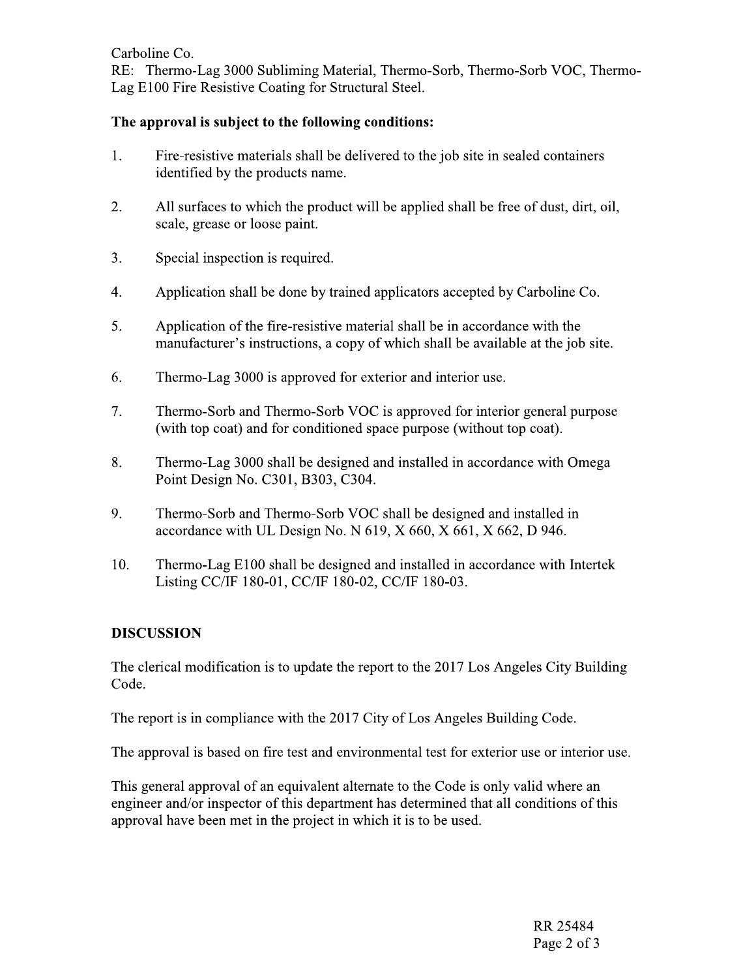Carboline Co.

RE: Thermo-Lag 3000 Subliming Material, Thermo-Sorb, Thermo-Sorb VOC, Thermo-Lag E100 Fire Resistive Coating for Structural Steel.

## The approval is subject to the following conditions:

- $1.$ Fire-resistive materials shall be delivered to the job site in sealed containers identified by the products name.
- 2. All surfaces to which the product will be applied shall be free of dust, dirt, oil, scale, grease or loose paint.
- 3. Special inspection is required.
- 4. Application shall be done by trained applicators accepted by Carboline Co.
- 5. Application of the fire-resistive material shall be in accordance with the manufacturer's instructions, a copy of which shall be available at the job site.
- 6. Thermo-Lag 3000 is approved for exterior and interior use.
- $\overline{7}$ . Thermo-Sorb and Thermo-Sorb VOC is approved for interior general purpose (with top coat) and for conditioned space purpose (without top coat).
- 8. Thermo-Lag 3000 shall be designed and installed in accordance with Omega Point Design No. C301, B303, C304.
- 9. Thermo-Sorb and Thermo-Sorb VOC shall be designed and installed in accordance with UL Design No. N  $619$ , X  $660$ , X  $661$ , X  $662$ , D 946.
- 10. Thermo-Lag E100 shall be designed and installed in accordance with Intertek Listing CC/IF 180-01, CC/IF 180-02, CC/IF 180-03.

## **DISCUSSION**

The clerical modification is to update the report to the 2017 Los Angeles City Building Code.

The report is in compliance with the 2017 City of Los Angeles Building Code.

The approval is based on fire test and environmental test for exterior use or interior use.

This general approval of an equivalent alternate to the Code is only valid where an engineer and/or inspector of this department has determined that all conditions of this approval have been met in the project in which it is to be used.